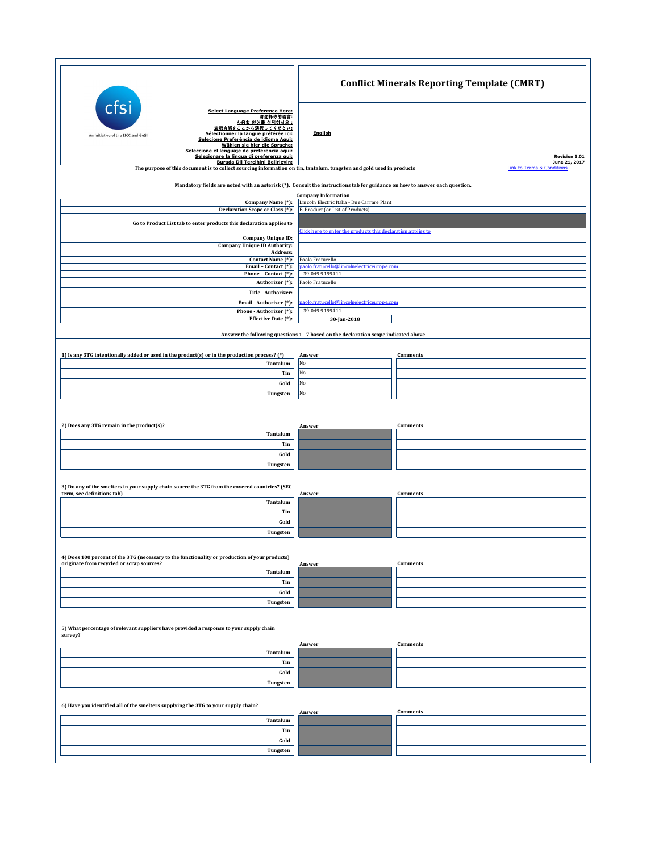|                                                                                                                                                                                                                                                                                                                                                       | <b>Conflict Minerals Reporting Template (CMRT)</b>                                                            |                                                        |  |  |
|-------------------------------------------------------------------------------------------------------------------------------------------------------------------------------------------------------------------------------------------------------------------------------------------------------------------------------------------------------|---------------------------------------------------------------------------------------------------------------|--------------------------------------------------------|--|--|
| cts<br><b>Select Language Preference Here:</b><br>请选择你的语言:<br>사용할 언어를 선택하시오 :<br>表示言語をここから選択してください:<br>Sélectionner la langue préférée ici:<br>An initiative of the EICC and GeSI<br>Selecione Preferência de idioma Aqui:<br>Wählen sie hier die Sprache:<br>Seleccione el lenguaie de preferencia agui:<br>Selezionare la lingua di preferenza qui: | English                                                                                                       | Revision 5.01                                          |  |  |
| Burada Dil Tercihini Belirleyin:<br>The purpose of this document is to collect sourcing information on tin, tantalum, tungsten and gold used in products                                                                                                                                                                                              |                                                                                                               | June 21, 2017<br><b>Link to Terms &amp; Conditions</b> |  |  |
| Mandatory fields are noted with an asterisk (*). Consult the instructions tab for guidance on how to answer each question.                                                                                                                                                                                                                            |                                                                                                               |                                                        |  |  |
| Company Name (*):<br>Declaration Scope or Class (*):                                                                                                                                                                                                                                                                                                  | <b>Company Information</b><br>Lincoln Electric Italia - Due Carrare Plant<br>B. Product (or List of Products) |                                                        |  |  |
| Go to Product List tab to enter products this declaration applies to                                                                                                                                                                                                                                                                                  |                                                                                                               |                                                        |  |  |
| Company Unique ID:                                                                                                                                                                                                                                                                                                                                    | Click here to enter the products this declaration applies to                                                  |                                                        |  |  |
| <b>Company Unique ID Authority:</b><br>Address:                                                                                                                                                                                                                                                                                                       |                                                                                                               |                                                        |  |  |
| Contact Name (*):<br>Email - Contact (*):                                                                                                                                                                                                                                                                                                             | Paolo Fratucello<br>paolo.fratucello@lincolnelectriceurope.com<br>+39 049 9199411                             |                                                        |  |  |
| Phone - Contact (*):<br>Authorizer (*):                                                                                                                                                                                                                                                                                                               | Paolo Fratucello                                                                                              |                                                        |  |  |
| Title - Authorizer:<br>Email - Authorizer (*):                                                                                                                                                                                                                                                                                                        | paolo.fratucello@lincolnelectriceurope.com                                                                    |                                                        |  |  |
| Phone - Authorizer (*):<br>Effective Date (*):                                                                                                                                                                                                                                                                                                        | +39 049 9199411<br>30-Jan-2018                                                                                |                                                        |  |  |
|                                                                                                                                                                                                                                                                                                                                                       | Answer the following questions 1 - 7 based on the declaration scope indicated above                           |                                                        |  |  |
|                                                                                                                                                                                                                                                                                                                                                       |                                                                                                               |                                                        |  |  |
| 1) Is any 3TG intentionally added or used in the product(s) or in the production process? (*)<br>Tantalum                                                                                                                                                                                                                                             | Answer<br>No                                                                                                  | Comments                                               |  |  |
| Tin                                                                                                                                                                                                                                                                                                                                                   | No                                                                                                            |                                                        |  |  |
| Gold<br>Tungsten                                                                                                                                                                                                                                                                                                                                      | No<br>No                                                                                                      |                                                        |  |  |
|                                                                                                                                                                                                                                                                                                                                                       |                                                                                                               |                                                        |  |  |
| 2) Does any 3TG remain in the product(s)?                                                                                                                                                                                                                                                                                                             | Answer                                                                                                        | Comments                                               |  |  |
| Tantalum<br>Tin                                                                                                                                                                                                                                                                                                                                       |                                                                                                               |                                                        |  |  |
| Gold                                                                                                                                                                                                                                                                                                                                                  |                                                                                                               |                                                        |  |  |
| Tungsten                                                                                                                                                                                                                                                                                                                                              |                                                                                                               |                                                        |  |  |
| 3) Do any of the smelters in your supply chain source the 3TG from the covered countries? (SEC                                                                                                                                                                                                                                                        |                                                                                                               |                                                        |  |  |
| term, see definitions tab)<br>Tantalum                                                                                                                                                                                                                                                                                                                | Answer                                                                                                        | Comments                                               |  |  |
| Tin<br>Gold                                                                                                                                                                                                                                                                                                                                           |                                                                                                               |                                                        |  |  |
| Tungsten                                                                                                                                                                                                                                                                                                                                              |                                                                                                               |                                                        |  |  |
|                                                                                                                                                                                                                                                                                                                                                       |                                                                                                               |                                                        |  |  |
| 4) Does 100 percent of the 3TG (necessary to the functionality or production of your products)<br>originate from recycled or scrap sources?                                                                                                                                                                                                           | Answer                                                                                                        | Comments                                               |  |  |
| Tantalum<br>Tin                                                                                                                                                                                                                                                                                                                                       |                                                                                                               |                                                        |  |  |
| Gold                                                                                                                                                                                                                                                                                                                                                  |                                                                                                               |                                                        |  |  |
| Tungsten                                                                                                                                                                                                                                                                                                                                              |                                                                                                               |                                                        |  |  |
| 5) What percentage of relevant suppliers have provided a response to your supply chain<br>survey?                                                                                                                                                                                                                                                     |                                                                                                               |                                                        |  |  |
| Tantalum                                                                                                                                                                                                                                                                                                                                              | Answer                                                                                                        | Comments                                               |  |  |
| Tin                                                                                                                                                                                                                                                                                                                                                   |                                                                                                               |                                                        |  |  |
| Gold<br>Tungsten                                                                                                                                                                                                                                                                                                                                      |                                                                                                               |                                                        |  |  |
|                                                                                                                                                                                                                                                                                                                                                       |                                                                                                               |                                                        |  |  |
| 6) Have you identified all of the smelters supplying the 3TG to your supply chain?                                                                                                                                                                                                                                                                    | Answer                                                                                                        | Comments                                               |  |  |
| Tantalum<br>Tin                                                                                                                                                                                                                                                                                                                                       |                                                                                                               |                                                        |  |  |
| Gold                                                                                                                                                                                                                                                                                                                                                  |                                                                                                               |                                                        |  |  |
| Tungsten                                                                                                                                                                                                                                                                                                                                              |                                                                                                               |                                                        |  |  |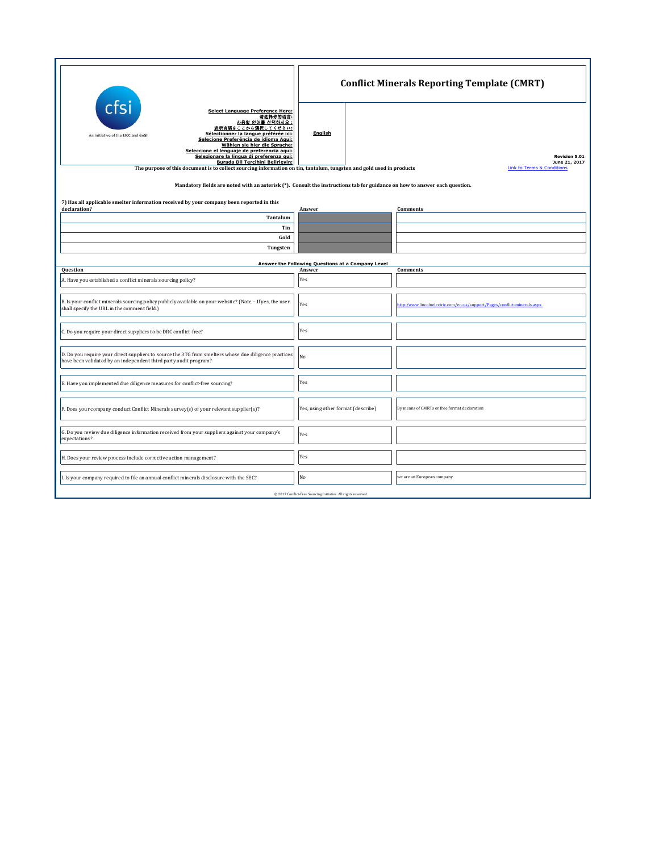|                                                                                                                                                                                                                                                                                                                                                                                     | <b>Conflict Minerals Reporting Template (CMRT)</b>          |  |                                                                          |  |  |  |
|-------------------------------------------------------------------------------------------------------------------------------------------------------------------------------------------------------------------------------------------------------------------------------------------------------------------------------------------------------------------------------------|-------------------------------------------------------------|--|--------------------------------------------------------------------------|--|--|--|
| cfsi<br>Select Language Preference Here:<br>请选择你的语言:<br>사용할 언어를 선택하시오 :<br>表示言語をここから選択してください:<br>Sélectionner la langue préférée ici:<br>An initiative of the EICC and GeSI<br>Selecione Preferência de idioma Aqui:<br>Wählen sie hier die Sprache:<br>Seleccione el lenguaje de preferencia aqui:<br>Selezionare la lingua di preferenza qui:<br>Burada Dil Tercihini Belirleyin: | <b>English</b>                                              |  | <b>Revision 5.01</b><br>June 21, 2017<br>Link to Terms & Conditions      |  |  |  |
| The purpose of this document is to collect sourcing information on tin, tantalum, tungsten and gold used in products<br>Mandatory fields are noted with an asterisk (*). Consult the instructions tab for guidance on how to answer each question.                                                                                                                                  |                                                             |  |                                                                          |  |  |  |
| 7) Has all applicable smelter information received by your company been reported in this<br>declaration?<br>Tantalum<br>Tin                                                                                                                                                                                                                                                         | Answer                                                      |  | <b>Comments</b>                                                          |  |  |  |
| Gold<br>Tungsten                                                                                                                                                                                                                                                                                                                                                                    |                                                             |  |                                                                          |  |  |  |
| Question                                                                                                                                                                                                                                                                                                                                                                            | Answer the Following Questions at a Company Level<br>Answer |  | <b>Comments</b>                                                          |  |  |  |
| A. Have you established a conflict minerals sourcing policy?                                                                                                                                                                                                                                                                                                                        | Yes                                                         |  |                                                                          |  |  |  |
| B. Is your conflict minerals sourcing policy publicly available on your website? (Note - If yes, the user<br>shall specify the URL in the comment field.)                                                                                                                                                                                                                           | Yes                                                         |  | http:/www.lincolnelectric.com/en-us/support/Pages/conflict-minerals.aspx |  |  |  |
| C. Do you require your direct suppliers to be DRC conflict-free?                                                                                                                                                                                                                                                                                                                    | Yes                                                         |  |                                                                          |  |  |  |
| D. Do you require your direct suppliers to source the 3TG from smelters whose due diligence practices<br>have been validated by an independent third party audit program?                                                                                                                                                                                                           | No                                                          |  |                                                                          |  |  |  |
| E. Have you implemented due diligence measures for conflict-free sourcing?                                                                                                                                                                                                                                                                                                          | Yes                                                         |  |                                                                          |  |  |  |
| F. Does your company conduct Conflict Minerals survey(s) of your relevant supplier(s)?                                                                                                                                                                                                                                                                                              | Yes, using other format (describe)                          |  | By means of CMRTs or free format declaration                             |  |  |  |
| G. Do you review due diligence information received from your suppliers against your company's<br>expectations?                                                                                                                                                                                                                                                                     | Yes                                                         |  |                                                                          |  |  |  |
| H. Does your review process include corrective action management?                                                                                                                                                                                                                                                                                                                   | Yes                                                         |  |                                                                          |  |  |  |
| I. Is your company required to file an annual conflict minerals disclosure with the SEC?                                                                                                                                                                                                                                                                                            | No                                                          |  | we are an European company                                               |  |  |  |
| @ 2017 Conflict-Free Sourcing Initiative. All rights reserved.                                                                                                                                                                                                                                                                                                                      |                                                             |  |                                                                          |  |  |  |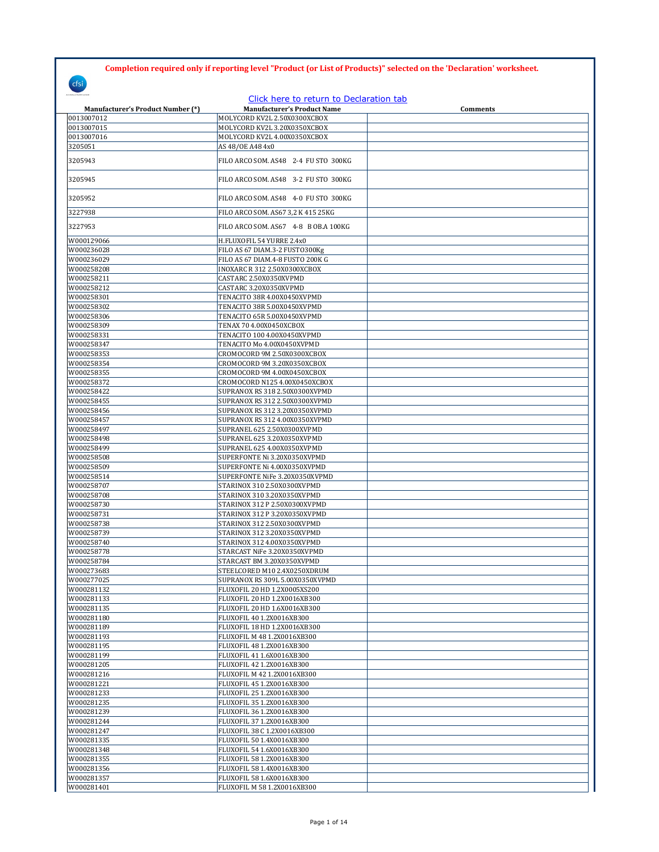**Completion required only if reporting level "Product (or List of Products)" selected on the 'Declaration' worksheet.**

| cfsi                                     |                                                                               |                 |
|------------------------------------------|-------------------------------------------------------------------------------|-----------------|
| <b>Manufacturer's Product Number (*)</b> | Click here to return to Declaration tab<br><b>Manufacturer's Product Name</b> | <b>Comments</b> |
| 0013007012                               | MOLYCORD KV2L 2.50X0300XCBOX                                                  |                 |
| 0013007015                               | MOLYCORD KV2L 3.20X0350XCBOX                                                  |                 |
| 0013007016                               | MOLYCORD KV2L 4.00X0350XCBOX                                                  |                 |
| 3205051                                  | AS 48/0E A48 4x0                                                              |                 |
| 3205943                                  | FILO ARCO SOM. AS48 2-4 FU STO 300KG                                          |                 |
| 3205945                                  | FILO ARCO SOM. AS48 3-2 FU STO 300KG                                          |                 |
| 3205952                                  | FILO ARCO SOM. AS48 4-0 FU STO 300KG                                          |                 |
| 3227938                                  | FILO ARCO SOM. AS67 3,2 K 415 25KG                                            |                 |
| 3227953                                  | FILO ARCO SOM. AS67 4-8 B OB.A 100KG                                          |                 |
| W000129066                               | H.FLUXOFIL 54 YURRE 2.4x0                                                     |                 |
| W000236028                               | FILO AS 67 DIAM.3-2 FUSTO300Kg                                                |                 |
| W000236029                               | FILO AS 67 DIAM.4-8 FUSTO 200K G                                              |                 |
| W000258208                               | INOXARC R 312 2.50X0300XCBOX                                                  |                 |
| W000258211                               | CASTARC 2.50X0350XVPMD                                                        |                 |
| W000258212                               | CASTARC 3.20X0350XVPMD                                                        |                 |
| W000258301                               | TENACITO 38R 4.00X0450XVPMD                                                   |                 |
| W000258302                               | TENACITO 38R 5.00X0450XVPMD                                                   |                 |
| W000258306                               | TENACITO 65R 5.00X0450XVPMD                                                   |                 |
| W000258309                               | TENAX 70 4.00X0450XCBOX                                                       |                 |
| W000258331                               | TENACITO 100 4.00X0450XVPMD                                                   |                 |
| W000258347                               | TENACITO Mo 4.00X0450XVPMD                                                    |                 |
| W000258353                               | CROMOCORD 9M 2.50X0300XCBOX                                                   |                 |
| W000258354                               | CROMOCORD 9M 3.20X0350XCBOX                                                   |                 |
| W000258355                               | CROMOCORD 9M 4.00X0450XCBOX                                                   |                 |
| W000258372                               | CROMOCORD N125 4.00X0450XCBOX                                                 |                 |
| W000258422                               | SUPRANOX RS 318 2.50X0300XVPMD                                                |                 |
| W000258455                               | SUPRANOX RS 312 2.50X0300XVPMD                                                |                 |
| W000258456                               | SUPRANOX RS 312 3.20X0350XVPMD                                                |                 |
| W000258457                               | SUPRANOX RS 312 4.00X0350XVPMD                                                |                 |
| W000258497                               | SUPRANEL 625 2.50X0300XVPMD                                                   |                 |
| W000258498                               | SUPRANEL 625 3.20X0350XVPMD                                                   |                 |
| W000258499                               | SUPRANEL 625 4.00X0350XVPMD                                                   |                 |
| W000258508                               | SUPERFONTE Ni 3.20X0350XVPMD                                                  |                 |
| W000258509                               | SUPERFONTE Ni 4.00X0350XVPMD                                                  |                 |
| W000258514                               | SUPERFONTE NiFe 3.20X0350XVPMD                                                |                 |
| W000258707                               | STARINOX 310 2.50X0300XVPMD                                                   |                 |
| W000258708                               | STARINOX 310 3.20X0350XVPMD                                                   |                 |
| W000258730                               | STARINOX 312 P 2.50X0300XVPMD                                                 |                 |
| W000258731                               | STARINOX 312 P 3.20X0350XVPMD                                                 |                 |
| W000258738                               | STARINOX 312 2.50X0300XVPMD                                                   |                 |
| W000258739                               | STARINOX 312 3.20X0350XVPMD                                                   |                 |
| W000258740                               | STARINOX 312 4.00X0350XVPMD                                                   |                 |
| W000258778                               | STARCAST NiFe 3.20X0350XVPMD                                                  |                 |
| W000258784                               | STARCAST BM 3.20X0350XVPMD                                                    |                 |
| W000273683                               | STEELCORED M10 2.4X0250XDRUM                                                  |                 |
| W000277025                               | SUPRANOX RS 309L 5.00X0350XVPMD                                               |                 |
| W000281132                               | FLUXOFIL 20 HD 1.2X0005XS200                                                  |                 |
| W000281133                               | FLUXOFIL 20 HD 1.2X0016XB300                                                  |                 |
| W000281135                               | FLUXOFIL 20 HD 1.6X0016XB300                                                  |                 |
| W000281180                               | FLUXOFIL 40 1.2X0016XB300                                                     |                 |
| W000281189                               | FLUXOFIL 18 HD 1.2X0016XB300                                                  |                 |
| W000281193                               | FLUXOFIL M 48 1.2X0016XB300                                                   |                 |
| W000281195                               | FLUXOFIL 48 1.2X0016XB300                                                     |                 |
| W000281199                               | FLUXOFIL 41 1.6X0016XB300                                                     |                 |
| W000281205                               | FLUXOFIL 42 1.2X0016XB300                                                     |                 |
| W000281216                               | FLUXOFIL M 42 1.2X0016XB300                                                   |                 |
| W000281221                               | FLUXOFIL 45 1.2X0016XB300                                                     |                 |
| W000281233                               | FLUXOFIL 25 1.2X0016XB300                                                     |                 |
| W000281235                               | FLUXOFIL 35 1.2X0016XB300                                                     |                 |
| W000281239                               | FLUXOFIL 36 1.2X0016XB300                                                     |                 |
| W000281244                               | FLUXOFIL 37 1.2X0016XB300                                                     |                 |
| W000281247                               | FLUXOFIL 38 C 1.2X0016XB300                                                   |                 |
| W000281335                               | FLUXOFIL 50 1.4X0016XB300                                                     |                 |
| W000281348                               | FLUXOFIL 54 1.6X0016XB300                                                     |                 |
| W000281355                               | FLUXOFIL 58 1.2X0016XB300                                                     |                 |
| W000281356                               | FLUXOFIL 58 1.4X0016XB300                                                     |                 |
| W000281357                               | FLUXOFIL 58 1.6X0016XB300                                                     |                 |
| W000281401                               | FLUXOFIL M 58 1.2X0016XB300                                                   |                 |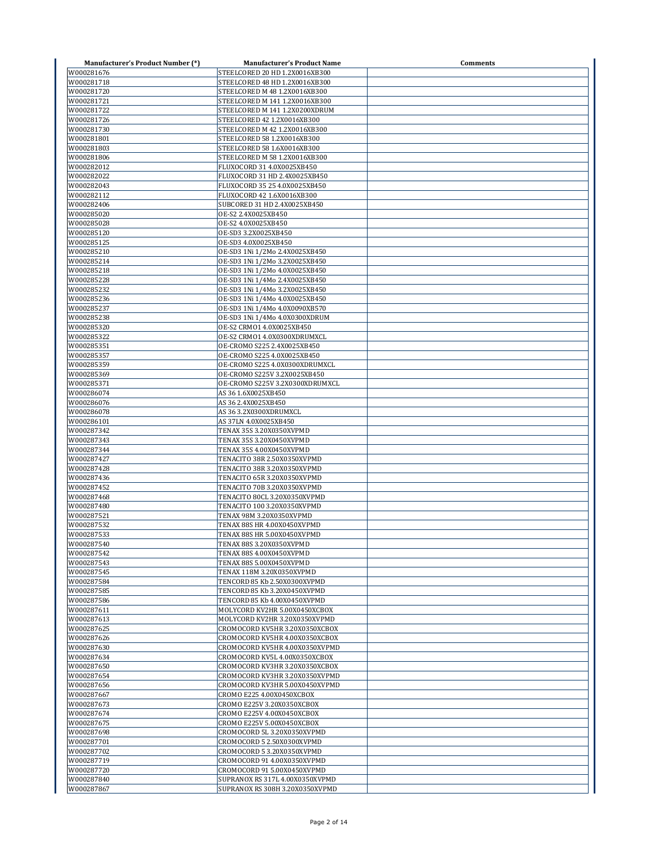| <b>Manufacturer's Product Number (*)</b> | <b>Manufacturer's Product Name</b> | Comments |
|------------------------------------------|------------------------------------|----------|
| W000281676                               | STEELCORED 20 HD 1.2X0016XB300     |          |
| W000281718                               | STEELCORED 48 HD 1.2X0016XB300     |          |
| W000281720                               | STEELCORED M 48 1.2X0016XB300      |          |
| W000281721                               | STEELCORED M 141 1.2X0016XB300     |          |
| W000281722                               | STEELCORED M 141 1.2X0200XDRUM     |          |
| W000281726                               | STEELCORED 42 1.2X0016XB300        |          |
| W000281730                               | STEELCORED M 42 1.2X0016XB300      |          |
| W000281801                               | STEELCORED 58 1.2X0016XB300        |          |
| W000281803                               | STEELCORED 58 1.6X0016XB300        |          |
| W000281806                               | STEELCORED M 58 1.2X0016XB300      |          |
| W000282012                               | FLUXOCORD 31 4.0X0025XB450         |          |
| W000282022                               | FLUXOCORD 31 HD 2.4X0025XB450      |          |
| W000282043                               | FLUXOCORD 35 25 4.0X0025XB450      |          |
| W000282112                               | FLUXOCORD 42 1.6X0016XB300         |          |
| W000282406                               | SUBCORED 31 HD 2.4X0025XB450       |          |
| W000285020                               | OE-S2 2.4X0025XB450                |          |
| W000285028                               | OE-S2 4.0X0025XB450                |          |
| W000285120                               | OE-SD3 3.2X0025XB450               |          |
| W000285125                               | OE-SD3 4.0X0025XB450               |          |
| W000285210                               | OE-SD3 1Ni 1/2Mo 2.4X0025XB450     |          |
| W000285214                               | OE-SD3 1Ni 1/2Mo 3.2X0025XB450     |          |
| W000285218                               | OE-SD3 1Ni 1/2Mo 4.0X0025XB450     |          |
| W000285228                               | OE-SD3 1Ni 1/4Mo 2.4X0025XB450     |          |
| W000285232                               | OE-SD3 1Ni 1/4Mo 3.2X0025XB450     |          |
| W000285236                               | OE-SD3 1Ni 1/4Mo 4.0X0025XB450     |          |
| W000285237                               | OE-SD3 1Ni 1/4Mo 4.0X0090XB570     |          |
| W000285238                               | OE-SD3 1Ni 1/4Mo 4.0X0300XDRUM     |          |
| W000285320                               | OE-S2 CRMO1 4.0X0025XB450          |          |
| W000285322                               | OE-S2 CRMO1 4.0X0300XDRUMXCL       |          |
| W000285351                               | OE-CROMO S225 2.4X0025XB450        |          |
| W000285357                               | OE-CROMO S225 4.0X0025XB450        |          |
| W000285359                               | OE-CROMO S225 4.0X0300XDRUMXCL     |          |
| W000285369                               | OE-CROMO S225V 3.2X0025XB450       |          |
| W000285371                               | OE-CROMO S225V 3.2X0300XDRUMXCL    |          |
| W000286074                               | AS 36 1.6X0025XB450                |          |
| W000286076                               | AS 36 2.4X0025XB450                |          |
| W000286078                               | AS 36 3.2X0300XDRUMXCL             |          |
| W000286101                               | AS 37LN 4.0X0025XB450              |          |
| W000287342                               | TENAX 35S 3.20X0350XVPMD           |          |
| W000287343                               | TENAX 35S 3.20X0450XVPMD           |          |
| W000287344                               | TENAX 35S 4.00X0450XVPMD           |          |
| W000287427                               | TENACITO 38R 2.50X0350XVPMD        |          |
| W000287428                               | TENACITO 38R 3.20X0350XVPMD        |          |
| W000287436                               | TENACITO 65R 3.20X0350XVPMD        |          |
| W000287452                               | TENACITO 70B 3.20X0350XVPMD        |          |
| W000287468                               | TENACITO 80CL 3.20X0350XVPMD       |          |
| W000287480                               | TENACITO 100 3.20X0350XVPMD        |          |
| W000287521                               | TENAX 98M 3.20X0350XVPMD           |          |
| W000287532                               | TENAX 88S HR 4.00X0450XVPMD        |          |
| W000287533                               | TENAX 88S HR 5.00X0450XVPMD        |          |
| W000287540                               | TENAX 88S 3.20X0350XVPMD           |          |
| W000287542                               | TENAX 88S 4.00X0450XVPMD           |          |
| W000287543                               | TENAX 88S 5.00X0450XVPMD           |          |
| W000287545                               | TENAX 118M 3.20X0350XVPMD          |          |
| W000287584                               | TENCORD 85 Kb 2.50X0300XVPMD       |          |
| W000287585                               | TENCORD 85 Kb 3.20X0450XVPMD       |          |
| W000287586                               | TENCORD 85 Kb 4.00X0450XVPMD       |          |
| W000287611                               | MOLYCORD KV2HR 5.00X0450XCBOX      |          |
| W000287613                               | MOLYCORD KV2HR 3.20X0350XVPMD      |          |
| W000287625                               | CROMOCORD KV5HR 3.20X0350XCBOX     |          |
| W000287626                               | CROMOCORD KV5HR 4.00X0350XCBOX     |          |
| W000287630                               | CROMOCORD KV5HR 4.00X0350XVPMD     |          |
| W000287634                               | CROMOCORD KV5L 4.00X0350XCBOX      |          |
| W000287650                               | CROMOCORD KV3HR 3.20X0350XCBOX     |          |
| W000287654                               | CROMOCORD KV3HR 3.20X0350XVPMD     |          |
| W000287656                               | CROMOCORD KV3HR 5.00X0450XVPMD     |          |
| W000287667                               | CROMO E225 4.00X0450XCBOX          |          |
| W000287673                               | CROMO E225V 3.20X0350XCBOX         |          |
| W000287674                               | CROMO E225V 4.00X0450XCBOX         |          |
| W000287675                               | CROMO E225V 5.00X0450XCBOX         |          |
| W000287698                               | CROMOCORD 5L 3.20X0350XVPMD        |          |
| W000287701                               | CROMOCORD 5 2.50X0300XVPMD         |          |
| W000287702                               | CROMOCORD 5 3.20X0350XVPMD         |          |
| W000287719                               | CROMOCORD 91 4.00X0350XVPMD        |          |
| W000287720                               | CROMOCORD 91 5.00X0450XVPMD        |          |
| W000287840                               | SUPRANOX RS 317L 4.00X0350XVPMD    |          |
| W000287867                               | SUPRANOX RS 308H 3.20X0350XVPMD    |          |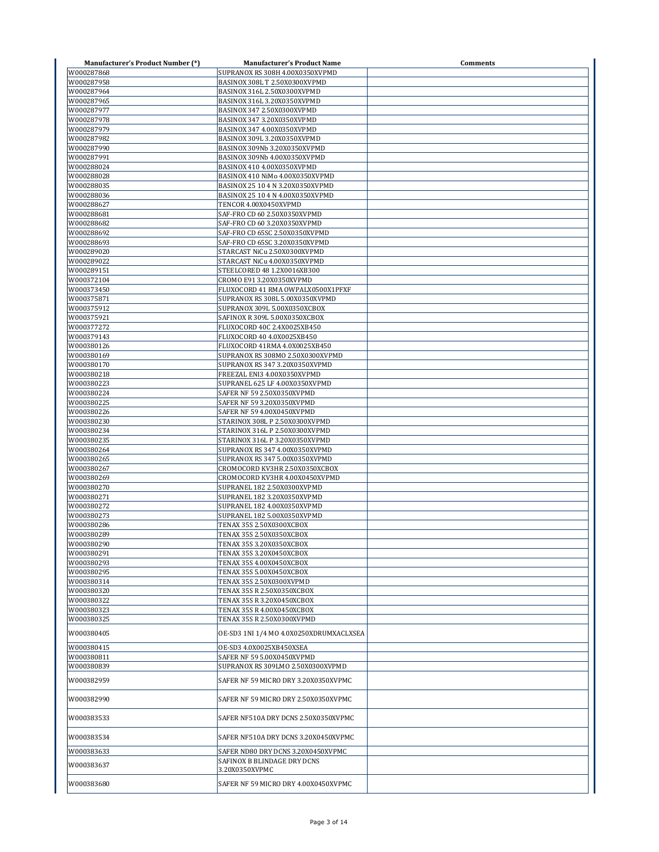| <b>Manufacturer's Product Number (*)</b> | <b>Manufacturer's Product Name</b>                               | Comments |
|------------------------------------------|------------------------------------------------------------------|----------|
| W000287868                               | SUPRANOX RS 308H 4.00X0350XVPMD                                  |          |
| W000287958                               | BASINOX 308L T 2.50X0300XVPMD                                    |          |
| W000287964                               | BASINOX 316L 2.50X0300XVPMD                                      |          |
| W000287965<br>W000287977                 | BASINOX 316L 3.20X0350XVPMD<br>BASINOX 347 2.50X0300XVPMD        |          |
| W000287978                               | BASINOX 347 3.20X0350XVPMD                                       |          |
| W000287979                               | BASINOX 347 4.00X0350XVPMD                                       |          |
| W000287982                               | BASINOX 309L 3.20X0350XVPMD                                      |          |
| W000287990                               | BASINOX 309Nb 3.20X0350XVPMD                                     |          |
| W000287991                               | BASINOX 309Nb 4.00X0350XVPMD                                     |          |
| W000288024                               | BASINOX 410 4.00X0350XVPMD                                       |          |
| W000288028                               | BASINOX 410 NiMo 4.00X0350XVPMD                                  |          |
| W000288035                               | BASINOX 25 10 4 N 3.20X0350XVPMD                                 |          |
| W000288036                               | BASINOX 25 10 4 N 4.00X0350XVPMD                                 |          |
| W000288627<br>W000288681                 | TENCOR 4.00X0450XVPMD<br>SAF-FRO CD 60 2.50X0350XVPMD            |          |
| W000288682                               | SAF-FRO CD 60 3.20X0350XVPMD                                     |          |
| W000288692                               | SAF-FRO CD 65SC 2.50X0350XVPMD                                   |          |
| W000288693                               | SAF-FRO CD 65SC 3.20X0350XVPMD                                   |          |
| W000289020                               | STARCAST NiCu 2.50X0300XVPMD                                     |          |
| W000289022                               | STARCAST NiCu 4.00X0350XVPMD                                     |          |
| W000289151                               | STEELCORED 48 1.2X0016XB300                                      |          |
| W000372104                               | CROMO E91 3.20X0350XVPMD                                         |          |
| W000373450                               | FLUXOCORD 41 RMA OWPALX0500X1PFXF                                |          |
| W000375871                               | SUPRANOX RS 308L 5.00X0350XVPMD                                  |          |
| W000375912                               | SUPRANOX 309L 5.00X0350XCBOX                                     |          |
| W000375921<br>W000377272                 | SAFINOX R 309L 5.00X0350XCBOX                                    |          |
| W000379143                               | FLUXOCORD 40C 2.4X0025XB450<br>FLUXOCORD 40 4.0X0025XB450        |          |
| W000380126                               | FLUXOCORD 41RMA 4.0X0025XB450                                    |          |
| W000380169                               | SUPRANOX RS 308MO 2.50X0300XVPMD                                 |          |
| W000380170                               | SUPRANOX RS 347 3.20X0350XVPMD                                   |          |
| W000380218                               | FREEZAL ENI3 4.00X0350XVPMD                                      |          |
| W000380223                               | SUPRANEL 625 LF 4.00X0350XVPMD                                   |          |
| W000380224                               | SAFER NF 59 2.50X0350XVPMD                                       |          |
| W000380225                               | SAFER NF 59 3.20X0350XVPMD                                       |          |
| W000380226                               | SAFER NF 59 4.00X0450XVPMD                                       |          |
| W000380230                               | STARINOX 308L P 2.50X0300XVPMD                                   |          |
| W000380234<br>W000380235                 | STARINOX 316L P 2.50X0300XVPMD<br>STARINOX 316L P 3.20X0350XVPMD |          |
| W000380264                               | SUPRANOX RS 347 4.00X0350XVPMD                                   |          |
| W000380265                               | SUPRANOX RS 347 5.00X0350XVPMD                                   |          |
| W000380267                               | CROMOCORD KV3HR 2.50X0350XCBOX                                   |          |
| W000380269                               | CROMOCORD KV3HR 4.00X0450XVPMD                                   |          |
| W000380270                               | SUPRANEL 182 2.50X0300XVPMD                                      |          |
| W000380271                               | SUPRANEL 182 3.20X0350XVPMD                                      |          |
| W000380272                               | SUPRANEL 182 4.00X0350XVPMD                                      |          |
| W000380273                               | SUPRANEL 182 5.00X0350XVPMD                                      |          |
| W000380286                               | TENAX 35S 2.50X0300XCBOX                                         |          |
| W000380289                               | TENAX 35S 2.50X0350XCBOX                                         |          |
| W000380290<br>W000380291                 | TENAX 35S 3.20X0350XCBOX<br>TENAX 35S 3.20X0450XCBOX             |          |
| W000380293                               | TENAX 35S 4.00X0450XCBOX                                         |          |
| W000380295                               | TENAX 35S 5.00X0450XCBOX                                         |          |
| W000380314                               | TENAX 35S 2.50X0300XVPMD                                         |          |
| W000380320                               | TENAX 35S R 2.50X0350XCBOX                                       |          |
| W000380322                               | TENAX 35S R 3.20X0450XCBOX                                       |          |
| W000380323                               | TENAX 35S R 4.00X0450XCBOX                                       |          |
| W000380325                               | TENAX 35S R 2.50X0300XVPMD                                       |          |
| W000380405                               | OE-SD3 1NI 1/4 MO 4.0X0250XDRUMXACLXSEA                          |          |
| W000380415                               | OE-SD3 4.0X0025XB450XSEA                                         |          |
| W000380811                               | SAFER NF 59 5.00X0450XVPMD                                       |          |
| W000380839                               | SUPRANOX RS 309LMO 2.50X0300XVPMD                                |          |
| W000382959                               | SAFER NF 59 MICRO DRY 3.20X0350XVPMC                             |          |
| W000382990                               | SAFER NF 59 MICRO DRY 2.50X0350XVPMC                             |          |
| W000383533                               | SAFER NF510A DRY DCNS 2.50X0350XVPMC                             |          |
| W000383534                               | SAFER NF510A DRY DCNS 3.20X0450XVPMC                             |          |
| W000383633                               | SAFER ND80 DRY DCNS 3.20X0450XVPMC                               |          |
| W000383637                               | SAFINOX B BLINDAGE DRY DCNS<br>3.20X0350XVPMC                    |          |
| W000383680                               | SAFER NF 59 MICRO DRY 4.00X0450XVPMC                             |          |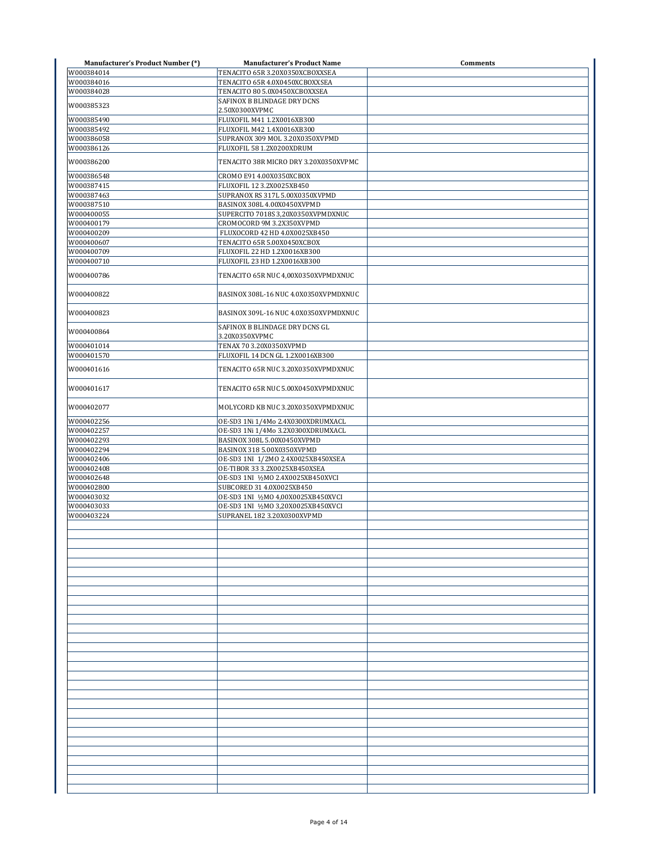| <b>Manufacturer's Product Number (*)</b> | <b>Manufacturer's Product Name</b>               | <b>Comments</b> |
|------------------------------------------|--------------------------------------------------|-----------------|
| W000384014                               | TENACITO 65R 3.20X0350XCBOXXSEA                  |                 |
| W000384016                               | TENACITO 65R 4.0X0450XCBOXXSEA                   |                 |
| W000384028                               | TENACITO 80 5.0X0450XCBOXXSEA                    |                 |
| W000385323                               | SAFINOX B BLINDAGE DRY DCNS                      |                 |
|                                          | 2.50X0300XVPMC                                   |                 |
| W000385490                               | FLUXOFIL M41 1.2X0016XB300                       |                 |
| W000385492                               | FLUXOFIL M42 1.4X0016XB300                       |                 |
| W000386058                               | SUPRANOX 309 MOL 3.20X0350XVPMD                  |                 |
| W000386126                               | FLUXOFIL 58 1.2X0200XDRUM                        |                 |
| W000386200                               | TENACITO 38R MICRO DRY 3.20X0350XVPMC            |                 |
| W000386548                               | CROMO E91 4.00X0350XCBOX                         |                 |
| W000387415                               | FLUXOFIL 12 3.2X0025XB450                        |                 |
| W000387463                               | SUPRANOX RS 317L 5.00X0350XVPMD                  |                 |
| W000387510                               | BASINOX 308L 4.00X0450XVPMD                      |                 |
| W000400055                               | SUPERCITO 7018S 3,20X0350XVPMDXNUC               |                 |
| W000400179                               | CROMOCORD 9M 3.2X350XVPMD                        |                 |
| W000400209                               | FLUXOCORD 42 HD 4.0X0025XB450                    |                 |
| W000400607                               | TENACITO 65R 5.00X0450XCBOX                      |                 |
| W000400709                               | FLUXOFIL 22 HD 1.2X0016XB300                     |                 |
| W000400710                               | FLUXOFIL 23 HD 1.2X0016XB300                     |                 |
| W000400786                               | TENACITO 65R NUC 4,00X0350XVPMDXNUC              |                 |
| W000400822                               | BASINOX 308L-16 NUC 4.0X0350XVPMDXNUC            |                 |
| W000400823                               | BASINOX 309L-16 NUC 4.0X0350XVPMDXNUC            |                 |
| W000400864                               | SAFINOX B BLINDAGE DRY DCNS GL<br>3.20X0350XVPMC |                 |
| W000401014                               | TENAX 70 3.20X0350XVPMD                          |                 |
| W000401570                               | FLUXOFIL 14 DCN GL 1.2X0016XB300                 |                 |
|                                          |                                                  |                 |
| W000401616                               | TENACITO 65R NUC 3.20X0350XVPMDXNUC              |                 |
| W000401617                               | TENACITO 65R NUC 5.00X0450XVPMDXNUC              |                 |
| W000402077                               | MOLYCORD KB NUC 3.20X0350XVPMDXNUC               |                 |
| W000402256                               | OE-SD3 1Ni 1/4Mo 2.4X0300XDRUMXACL               |                 |
| W000402257                               | OE-SD3 1Ni 1/4Mo 3.2X0300XDRUMXACL               |                 |
| W000402293                               | BASINOX 308L 5.00X0450XVPMD                      |                 |
| W000402294                               | BASINOX 318 5.00X0350XVPMD                       |                 |
| W000402406                               | OE-SD3 1NI 1/2MO 2.4X0025XB450XSEA               |                 |
| W000402408                               | OE-TIBOR 33 3.2X0025XB450XSEA                    |                 |
| W000402648                               | OE-SD3 1NI 1/2MO 2.4X0025XB450XVCI               |                 |
| W000402800                               | SUBCORED 31 4.0X0025XB450                        |                 |
| W000403032                               | OE-SD3 1NI 1/2MO 4,00X0025XB450XVCI              |                 |
| W000403033                               | OE-SD3 1NI 1/2MO 3,20X0025XB450XVCI              |                 |
| W000403224                               | SUPRANEL 182 3.20X0300XVPMD                      |                 |
|                                          |                                                  |                 |
|                                          |                                                  |                 |
|                                          |                                                  |                 |
|                                          |                                                  |                 |
|                                          |                                                  |                 |
|                                          |                                                  |                 |
|                                          |                                                  |                 |
|                                          |                                                  |                 |
|                                          |                                                  |                 |
|                                          |                                                  |                 |
|                                          |                                                  |                 |
|                                          |                                                  |                 |
|                                          |                                                  |                 |
|                                          |                                                  |                 |
|                                          |                                                  |                 |
|                                          |                                                  |                 |
|                                          |                                                  |                 |
|                                          |                                                  |                 |
|                                          |                                                  |                 |
|                                          |                                                  |                 |
|                                          |                                                  |                 |
|                                          |                                                  |                 |
|                                          |                                                  |                 |
|                                          |                                                  |                 |
|                                          |                                                  |                 |
|                                          |                                                  |                 |
|                                          |                                                  |                 |
|                                          |                                                  |                 |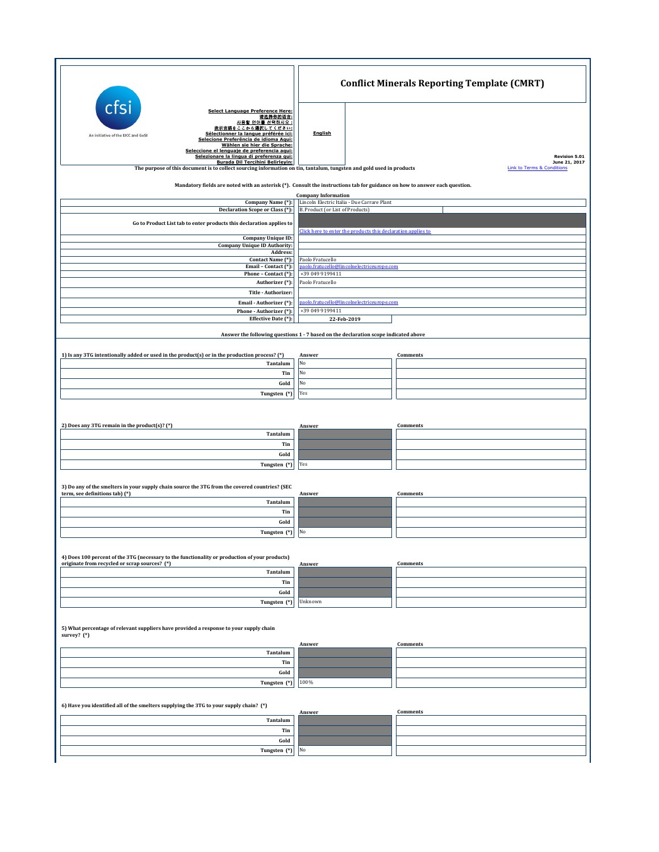|                                                                                                                                                                                                                                                                                                                                                       |                                                                                     | <b>Conflict Minerals Reporting Template (CMRT)</b>     |
|-------------------------------------------------------------------------------------------------------------------------------------------------------------------------------------------------------------------------------------------------------------------------------------------------------------------------------------------------------|-------------------------------------------------------------------------------------|--------------------------------------------------------|
| cfs<br><b>Select Language Preference Here:</b><br>请选择你的语言:<br>사용할 언어를 선택하시오 :<br>表示言語をここから選択してください:<br>Sélectionner la langue préférée ici:<br>An initiative of the EICC and GeSI<br>Selecione Preferência de idioma Aqui:<br>Wählen sie hier die Sprache:<br>Seleccione el lenguaje de preferencia aqui:<br>Selezionare la lingua di preferenza qui: | <b>English</b>                                                                      | <b>Revision 5.01</b>                                   |
| Burada Dil Tercihini Belirleyin:<br>The purpose of this document is to collect sourcing information on tin, tantalum, tungsten and gold used in products                                                                                                                                                                                              |                                                                                     | June 21, 2017<br><b>Link to Terms &amp; Conditions</b> |
| Mandatory fields are noted with an asterisk (*). Consult the instructions tab for guidance on how to answer each question.                                                                                                                                                                                                                            |                                                                                     |                                                        |
|                                                                                                                                                                                                                                                                                                                                                       | <b>Company Information</b>                                                          |                                                        |
| Company Name (*):<br>Declaration Scope or Class (*):                                                                                                                                                                                                                                                                                                  | Lincoln Electric Italia - Due Carrare Plant<br>B. Product (or List of Products)     |                                                        |
| Go to Product List tab to enter products this declaration applies to                                                                                                                                                                                                                                                                                  |                                                                                     |                                                        |
| <b>Company Unique ID:</b>                                                                                                                                                                                                                                                                                                                             | Click here to enter the products this declaration applies to                        |                                                        |
| <b>Company Unique ID Authority:</b><br>Address:                                                                                                                                                                                                                                                                                                       |                                                                                     |                                                        |
| Contact Name (*):<br>Email - Contact (*):                                                                                                                                                                                                                                                                                                             | Paolo Fratucello<br>aolo.fratucello@lincolnelectriceurope.com                       |                                                        |
| Phone - Contact (*):<br>Authorizer (*):                                                                                                                                                                                                                                                                                                               | +39 049 9199411<br>Paolo Fratucello                                                 |                                                        |
| Title - Authorizer:                                                                                                                                                                                                                                                                                                                                   |                                                                                     |                                                        |
| Email - Authorizer (*):<br>Phone - Authorizer (*):                                                                                                                                                                                                                                                                                                    | paolo.fratucello@lincolnelectriceurope.com<br>+39 049 9199411                       |                                                        |
| Effective Date (*):                                                                                                                                                                                                                                                                                                                                   | 22-Feb-2019                                                                         |                                                        |
|                                                                                                                                                                                                                                                                                                                                                       | Answer the following questions 1 - 7 based on the declaration scope indicated above |                                                        |
| 1) Is any 3TG intentionally added or used in the product(s) or in the production process? (*)                                                                                                                                                                                                                                                         | Answer                                                                              | Comments                                               |
| Tantalum                                                                                                                                                                                                                                                                                                                                              | No                                                                                  |                                                        |
| Tin<br>Gold                                                                                                                                                                                                                                                                                                                                           | No<br>No                                                                            |                                                        |
| Tungsten (*)                                                                                                                                                                                                                                                                                                                                          | Yes                                                                                 |                                                        |
|                                                                                                                                                                                                                                                                                                                                                       |                                                                                     |                                                        |
| 2) Does any 3TG remain in the product(s)? (*)                                                                                                                                                                                                                                                                                                         | Answer                                                                              | Comments                                               |
| Tantalum                                                                                                                                                                                                                                                                                                                                              |                                                                                     |                                                        |
| Tin<br>Gold                                                                                                                                                                                                                                                                                                                                           |                                                                                     |                                                        |
| Tungsten (*)                                                                                                                                                                                                                                                                                                                                          | Yes                                                                                 |                                                        |
| 3) Do any of the smelters in your supply chain source the 3TG from the covered countries? (SEC                                                                                                                                                                                                                                                        |                                                                                     |                                                        |
| term, see definitions tab) (*)                                                                                                                                                                                                                                                                                                                        | Answer                                                                              | Comments                                               |
| Tantalum<br>Tin                                                                                                                                                                                                                                                                                                                                       |                                                                                     |                                                        |
| Gold                                                                                                                                                                                                                                                                                                                                                  |                                                                                     |                                                        |
| Tungsten (*)                                                                                                                                                                                                                                                                                                                                          | No                                                                                  |                                                        |
| 4) Does 100 percent of the 3TG (necessary to the functionality or production of your products)                                                                                                                                                                                                                                                        |                                                                                     |                                                        |
| originate from recycled or scrap sources? (*)<br>Tantalum                                                                                                                                                                                                                                                                                             | Answer                                                                              | Comments                                               |
| Tin                                                                                                                                                                                                                                                                                                                                                   |                                                                                     |                                                        |
| Gold                                                                                                                                                                                                                                                                                                                                                  | Unknown                                                                             |                                                        |
| Tungsten (*)                                                                                                                                                                                                                                                                                                                                          |                                                                                     |                                                        |
| 5) What percentage of relevant suppliers have provided a response to your supply chain<br>survey? (*)                                                                                                                                                                                                                                                 |                                                                                     |                                                        |
| Tantalum                                                                                                                                                                                                                                                                                                                                              | Answer                                                                              | Comments                                               |
| Tin                                                                                                                                                                                                                                                                                                                                                   |                                                                                     |                                                        |
| Gold<br>Tungsten (*)                                                                                                                                                                                                                                                                                                                                  | 100%                                                                                |                                                        |
|                                                                                                                                                                                                                                                                                                                                                       |                                                                                     |                                                        |
| 6) Have you identified all of the smelters supplying the 3TG to your supply chain? (*)                                                                                                                                                                                                                                                                | Answer                                                                              | Comments                                               |
| Tantalum                                                                                                                                                                                                                                                                                                                                              |                                                                                     |                                                        |
| Tin<br>Gold                                                                                                                                                                                                                                                                                                                                           |                                                                                     |                                                        |
| Tungsten (*)                                                                                                                                                                                                                                                                                                                                          | No                                                                                  |                                                        |
|                                                                                                                                                                                                                                                                                                                                                       |                                                                                     |                                                        |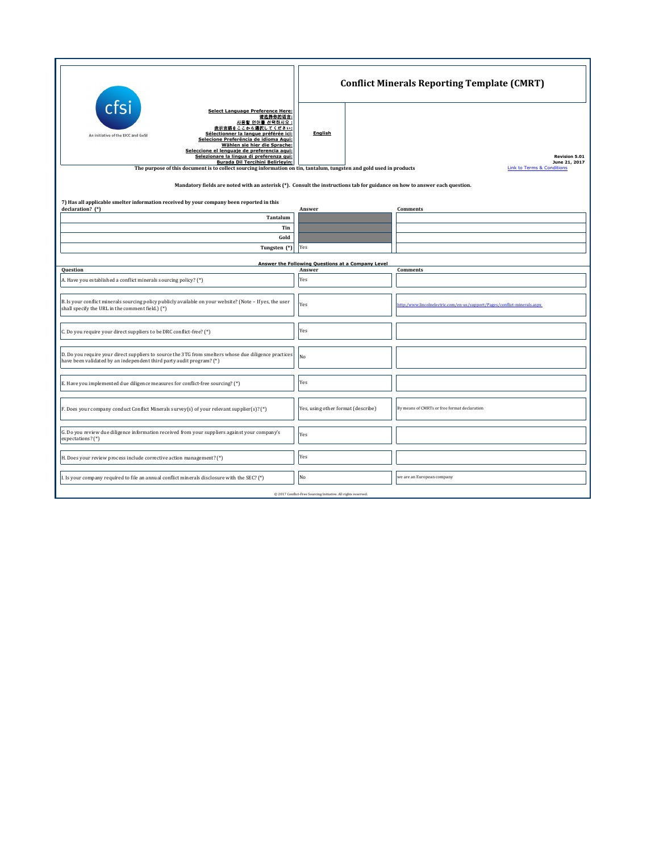|                                                                                                                                                                                                                                                                                                                                                                                                                                                                                                                    | <b>Conflict Minerals Reporting Template (CMRT)</b> |                            |                                                                         |  |  |
|--------------------------------------------------------------------------------------------------------------------------------------------------------------------------------------------------------------------------------------------------------------------------------------------------------------------------------------------------------------------------------------------------------------------------------------------------------------------------------------------------------------------|----------------------------------------------------|----------------------------|-------------------------------------------------------------------------|--|--|
| cfsi<br><b>Select Language Preference Here:</b><br>请选择你的语言:<br>사용할 언어를 선택하시오 :<br>表示言語をここから選択してください:<br>Sélectionner la langue préférée ici:<br>An initiative of the EICC and GeSI<br>Selecione Preferência de idioma Aqui:<br>Wählen sie hier die Sprache:<br>Seleccione el lenguaje de preferencia aqui:<br>Selezionare la lingua di preferenza qui:<br>Burada Dil Tercihini Belirleyin:<br>The purpose of this document is to collect sourcing information on tin, tantalum, tungsten and gold used in products | English                                            | Link to Terms & Conditions |                                                                         |  |  |
| Mandatory fields are noted with an asterisk (*). Consult the instructions tab for guidance on how to answer each question.                                                                                                                                                                                                                                                                                                                                                                                         |                                                    |                            |                                                                         |  |  |
| 7) Has all applicable smelter information received by your company been reported in this<br>declaration? (*)                                                                                                                                                                                                                                                                                                                                                                                                       | Answer                                             |                            | Comments                                                                |  |  |
| Tantalum                                                                                                                                                                                                                                                                                                                                                                                                                                                                                                           |                                                    |                            |                                                                         |  |  |
| Tin                                                                                                                                                                                                                                                                                                                                                                                                                                                                                                                |                                                    |                            |                                                                         |  |  |
| Gold                                                                                                                                                                                                                                                                                                                                                                                                                                                                                                               |                                                    |                            |                                                                         |  |  |
| Tungsten (*)                                                                                                                                                                                                                                                                                                                                                                                                                                                                                                       | Yes                                                |                            |                                                                         |  |  |
|                                                                                                                                                                                                                                                                                                                                                                                                                                                                                                                    | Answer the Following Questions at a Company Level  |                            |                                                                         |  |  |
| Question                                                                                                                                                                                                                                                                                                                                                                                                                                                                                                           | Answer                                             |                            | Comments                                                                |  |  |
| A. Have you established a conflict minerals sourcing policy? (*)                                                                                                                                                                                                                                                                                                                                                                                                                                                   | Yes                                                |                            |                                                                         |  |  |
| B. Is your conflict minerals sourcing policy publicly available on your website? (Note - If yes, the user<br>shall specify the URL in the comment field.) (*)                                                                                                                                                                                                                                                                                                                                                      | Yes                                                |                            | ttp:/www.lincolnelectric.com/en-us/support/Pages/conflict-minerals.aspx |  |  |
| C. Do you require your direct suppliers to be DRC conflict-free? (*)                                                                                                                                                                                                                                                                                                                                                                                                                                               | Yes                                                |                            |                                                                         |  |  |
| D. Do you require your direct suppliers to source the 3TG from smelters whose due diligence practices<br>have been validated by an independent third party audit program? (*)                                                                                                                                                                                                                                                                                                                                      | No                                                 |                            |                                                                         |  |  |
| E. Have you implemented due diligence measures for conflict-free sourcing? (*)                                                                                                                                                                                                                                                                                                                                                                                                                                     | Yes                                                |                            |                                                                         |  |  |
| F. Does your company conduct Conflict Minerals survey(s) of your relevant supplier(s)? (*)                                                                                                                                                                                                                                                                                                                                                                                                                         | Yes, using other format (describe)                 |                            | By means of CMRTs or free format declaration                            |  |  |
| G. Do you review due diligence information received from your suppliers against your company's<br>expectations? (*)                                                                                                                                                                                                                                                                                                                                                                                                | Yes                                                |                            |                                                                         |  |  |
| H. Does your review process include corrective action management? (*)                                                                                                                                                                                                                                                                                                                                                                                                                                              | Yes                                                |                            |                                                                         |  |  |
| I. Is your company required to file an annual conflict minerals disclosure with the SEC? (*)                                                                                                                                                                                                                                                                                                                                                                                                                       | No                                                 |                            | we are an European company                                              |  |  |
| @ 2017 Conflict-Free Sourcing Initiative. All rights reserved.                                                                                                                                                                                                                                                                                                                                                                                                                                                     |                                                    |                            |                                                                         |  |  |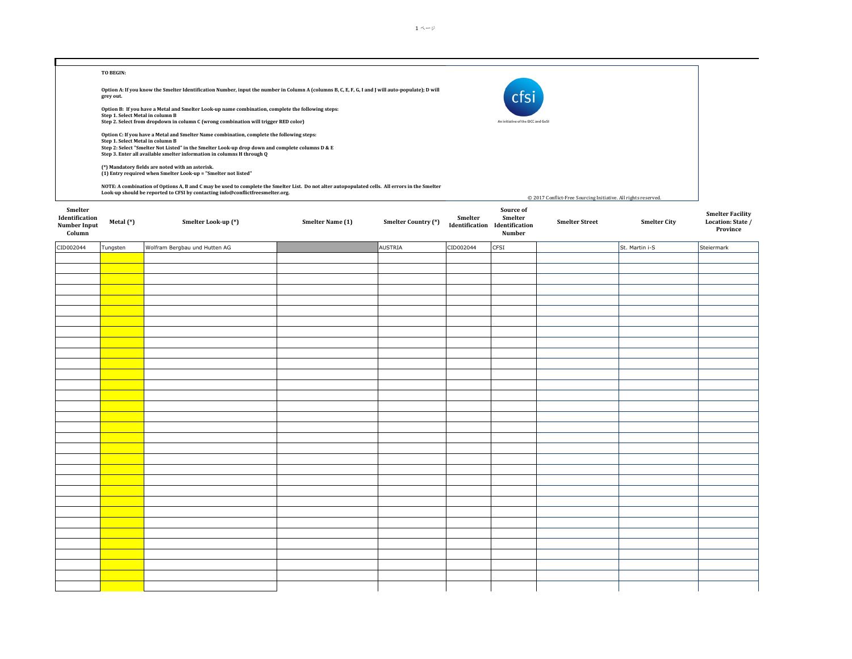|                                          | TO BEGIN:                        |                                                                                                                                                                           |                  |                     |           |                                                    |                                                                |                     |                               |
|------------------------------------------|----------------------------------|---------------------------------------------------------------------------------------------------------------------------------------------------------------------------|------------------|---------------------|-----------|----------------------------------------------------|----------------------------------------------------------------|---------------------|-------------------------------|
|                                          | grey out.                        | Option A: If you know the Smelter Identification Number, input the number in Column A (columns B, C, E, F, G, I and J will auto-populate); D will                         |                  |                     |           | cts                                                |                                                                |                     |                               |
|                                          |                                  | Option B: If you have a Metal and Smelter Look-up name combination, complete the following steps:                                                                         |                  |                     |           |                                                    |                                                                |                     |                               |
|                                          | Step 1. Select Metal in column B | Step 2. Select from dropdown in column C (wrong combination will trigger RED color)                                                                                       |                  |                     |           | An initiative of the EICC and GeSI                 |                                                                |                     |                               |
|                                          |                                  | Option C: If you have a Metal and Smelter Name combination, complete the following steps:                                                                                 |                  |                     |           |                                                    |                                                                |                     |                               |
|                                          | Step 1. Select Metal in column B | Step 2: Select "Smelter Not Listed" in the Smelter Look-up drop down and complete columns D & E<br>Step 3. Enter all available smelter information in columns H through Q |                  |                     |           |                                                    |                                                                |                     |                               |
|                                          |                                  | (*) Mandatory fields are noted with an asterisk.<br>(1) Entry required when Smelter Look-up = "Smelter not listed"                                                        |                  |                     |           |                                                    |                                                                |                     |                               |
|                                          |                                  | NOTE: A combination of Options A, B and C may be used to complete the Smelter List. Do not alter autopopulated cells. All errors in the Smelter                           |                  |                     |           |                                                    |                                                                |                     |                               |
|                                          |                                  | Look-up should be reported to CFSI by contacting info@conflictfreesmelter.org.                                                                                            |                  |                     |           |                                                    | © 2017 Conflict-Free Sourcing Initiative. All rights reserved. |                     |                               |
| Smelter                                  |                                  |                                                                                                                                                                           |                  |                     |           | Source of                                          |                                                                |                     | <b>Smelter Facility</b>       |
| Identification<br>Number Input<br>Column | Metal (*)                        | Smelter Look-up (*)                                                                                                                                                       | Smelter Name (1) | Smelter Country (*) | Smelter   | Smelter<br>Identification Identification<br>Number | <b>Smelter Street</b>                                          | <b>Smelter City</b> | Location: State /<br>Province |
| CID002044                                | Tungsten                         | Wolfram Bergbau und Hutten AG                                                                                                                                             |                  | AUSTRIA             | CID002044 | CFSI                                               |                                                                | St. Martin i-S      | Steiermark                    |
|                                          |                                  |                                                                                                                                                                           |                  |                     |           |                                                    |                                                                |                     |                               |
|                                          |                                  |                                                                                                                                                                           |                  |                     |           |                                                    |                                                                |                     |                               |
|                                          |                                  |                                                                                                                                                                           |                  |                     |           |                                                    |                                                                |                     |                               |
|                                          |                                  |                                                                                                                                                                           |                  |                     |           |                                                    |                                                                |                     |                               |
|                                          |                                  |                                                                                                                                                                           |                  |                     |           |                                                    |                                                                |                     |                               |
|                                          |                                  |                                                                                                                                                                           |                  |                     |           |                                                    |                                                                |                     |                               |
|                                          |                                  |                                                                                                                                                                           |                  |                     |           |                                                    |                                                                |                     |                               |
|                                          |                                  |                                                                                                                                                                           |                  |                     |           |                                                    |                                                                |                     |                               |
|                                          |                                  |                                                                                                                                                                           |                  |                     |           |                                                    |                                                                |                     |                               |
|                                          |                                  |                                                                                                                                                                           |                  |                     |           |                                                    |                                                                |                     |                               |
|                                          |                                  |                                                                                                                                                                           |                  |                     |           |                                                    |                                                                |                     |                               |
|                                          |                                  |                                                                                                                                                                           |                  |                     |           |                                                    |                                                                |                     |                               |
|                                          |                                  |                                                                                                                                                                           |                  |                     |           |                                                    |                                                                |                     |                               |
|                                          |                                  |                                                                                                                                                                           |                  |                     |           |                                                    |                                                                |                     |                               |
|                                          |                                  |                                                                                                                                                                           |                  |                     |           |                                                    |                                                                |                     |                               |
|                                          |                                  |                                                                                                                                                                           |                  |                     |           |                                                    |                                                                |                     |                               |
|                                          |                                  |                                                                                                                                                                           |                  |                     |           |                                                    |                                                                |                     |                               |
|                                          |                                  |                                                                                                                                                                           |                  |                     |           |                                                    |                                                                |                     |                               |
|                                          |                                  |                                                                                                                                                                           |                  |                     |           |                                                    |                                                                |                     |                               |
|                                          |                                  |                                                                                                                                                                           |                  |                     |           |                                                    |                                                                |                     |                               |
|                                          |                                  |                                                                                                                                                                           |                  |                     |           |                                                    |                                                                |                     |                               |
|                                          |                                  |                                                                                                                                                                           |                  |                     |           |                                                    |                                                                |                     |                               |
|                                          |                                  |                                                                                                                                                                           |                  |                     |           |                                                    |                                                                |                     |                               |
|                                          |                                  |                                                                                                                                                                           |                  |                     |           |                                                    |                                                                |                     |                               |
|                                          |                                  |                                                                                                                                                                           |                  |                     |           |                                                    |                                                                |                     |                               |
|                                          |                                  |                                                                                                                                                                           |                  |                     |           |                                                    |                                                                |                     |                               |
|                                          |                                  |                                                                                                                                                                           |                  |                     |           |                                                    |                                                                |                     |                               |
|                                          |                                  |                                                                                                                                                                           |                  |                     |           |                                                    |                                                                |                     |                               |
|                                          |                                  |                                                                                                                                                                           |                  |                     |           |                                                    |                                                                |                     |                               |
|                                          |                                  |                                                                                                                                                                           |                  |                     |           |                                                    |                                                                |                     |                               |